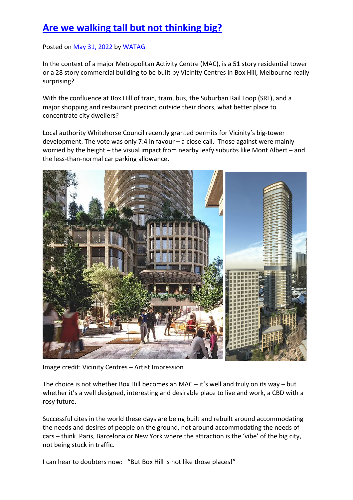## **Are we walking tall but not thinking big?**

## Posted on May 31, 2022 by WATAG

In the context of a major Metropolitan Activity Centre (MAC), is a 51 story residential tower or a 28 story commercial building to be built by Vicinity Centres in Box Hill, Melbourne really surprising?

With the confluence at Box Hill of train, tram, bus, the Suburban Rail Loop (SRL), and a major shopping and restaurant precinct outside their doors, what better place to concentrate city dwellers?

Local authority Whitehorse Council recently granted permits for Vicinity's big-tower development. The vote was only 7:4 in favour – a close call. Those against were mainly worried by the height – the visual impact from nearby leafy suburbs like Mont Albert – and the less-than-normal car parking allowance.



Image credit: Vicinity Centres – Artist Impression

The choice is not whether Box Hill becomes an MAC – it's well and truly on its way – but whether it's a well designed, interesting and desirable place to live and work, a CBD with a rosy future.

Successful cites in the world these days are being built and rebuilt around accommodating the needs and desires of people on the ground, not around accommodating the needs of cars – think Paris, Barcelona or New York where the attraction is the 'vibe' of the big city, not being stuck in traffic.

I can hear to doubters now: "But Box Hill is not like those places!"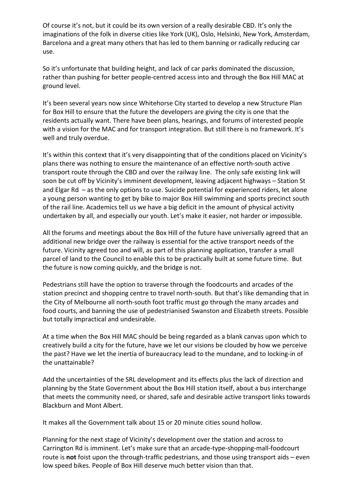Of course it's not, but it could be its own version of a really desirable CBD. It's only the imaginations of the folk in diverse cities like York (UK), Oslo, Helsinki, New York, Amsterdam, Barcelona and a great many others that has led to them banning or radically reducing car use.

So it's unfortunate that building height, and lack of car parks dominated the discussion, rather than pushing for better people-centred access into and through the Box Hill MAC at ground level.

It's been several years now since Whitehorse City started to develop a new Structure Plan for Box Hill to ensure that the future the developers are giving the city is one that the residents actually want. There have been plans, hearings, and forums of interested people with a vision for the MAC and for transport integration. But still there is no framework. It's well and truly overdue.

It's within this context that it's very disappointing that of the conditions placed on Vicinity's plans there was nothing to ensure the maintenance of an effective north-south active transport route through the CBD and over the railway line. The only safe existing link will soon be cut off by Vicinity's imminent development, leaving adjacent highways – Station St and Elgar Rd – as the only options to use. Suicide potential for experienced riders, let alone a young person wanting to get by bike to major Box Hill swimming and sports precinct south of the rail line. Academics tell us we have a big deficit in the amount of physical activity undertaken by all, and especially our youth. Let's make it easier, not harder or impossible.

All the forums and meetings about the Box Hill of the future have universally agreed that an additional new bridge over the railway is essential for the active transport needs of the future. Vicinity agreed too and will, as part of this planning application, transfer a small parcel of land to the Council to enable this to be practically built at some future time. But the future is now coming quickly, and the bridge is not.

Pedestrians still have the option to traverse through the foodcourts and arcades of the station precinct and shopping centre to travel north-south. But that's like demanding that in the City of Melbourne all north-south foot traffic must go through the many arcades and food courts, and banning the use of pedestrianised Swanston and Elizabeth streets. Possible but totally impractical and undesirable.

At a time when the Box Hill MAC should be being regarded as a blank canvas upon which to creatively build a city for the future, have we let our visions be clouded by how we perceive the past? Have we let the inertia of bureaucracy lead to the mundane, and to locking-in of the unattainable?

Add the uncertainties of the SRL development and its effects plus the lack of direction and planning by the State Government about the Box Hill station itself, about a bus interchange that meets the community need, or shared, safe and desirable active transport links towards Blackburn and Mont Albert.

It makes all the Government talk about 15 or 20 minute cities sound hollow.

Planning for the next stage of Vicinity's development over the station and across to Carrington Rd is imminent. Let's make sure that an arcade-type-shopping-mall-foodcourt route is **not** foist upon the through-traffic pedestrians, and those using transport aids – even low speed bikes. People of Box Hill deserve much better vision than that.